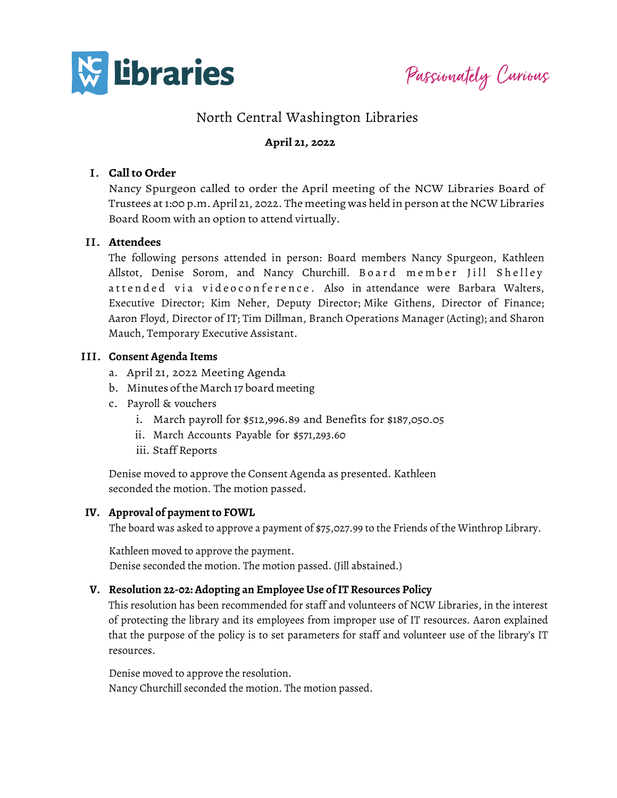

Passionately Curious

# North Central Washington Libraries

## **April 21, 2022**

### I. **Call to Order**

Nancy Spurgeon called to order the April meeting of the NCW Libraries Board of Trustees at 1:00 p.m. April 21, 2022. The meeting was held in person atthe NCW Libraries Board Room with an option to attend virtually.

#### II. **Attendees**

The following persons attended in person: Board members Nancy Spurgeon, Kathleen Allstot, Denise Sorom, and Nancy Churchill. Board member Jill Shelley attended via videoconference. Also in attendance were Barbara Walters, Executive Director; Kim Neher, Deputy Director; Mike Githens, Director of Finance; Aaron Floyd, Director of IT; Tim Dillman, Branch Operations Manager (Acting); and Sharon Mauch, Temporary Executive Assistant.

#### III. **Consent Agenda Items**

- a. April 21, 2022 Meeting Agenda
- b. Minutes ofthe March 17 board meeting
- c. Payroll & vouchers
	- i. March payroll for \$512,996.89 and Benefits for \$187,050.05
	- ii. March Accounts Payable for \$571,293.60
	- iii. Staff Reports

Denise moved to approve the Consent Agenda as presented. Kathleen seconded the motion. The motion passed.

#### **IV. Approval of payment to FOWL**

The board was asked to approve a payment of \$75,027.99 to the Friends of the Winthrop Library.

Kathleen moved to approve the payment. Denise seconded the motion. The motion passed. (Jill abstained.)

#### **V. Resolution 22-02: Adopting an Employee Use of IT Resources Policy**

This resolution has been recommended for staff and volunteers of NCW Libraries, in the interest of protecting the library and its employees from improper use of IT resources. Aaron explained that the purpose of the policy is to set parameters for staff and volunteer use of the library's IT resources.

Denise moved to approve the resolution. Nancy Churchill seconded the motion. The motion passed.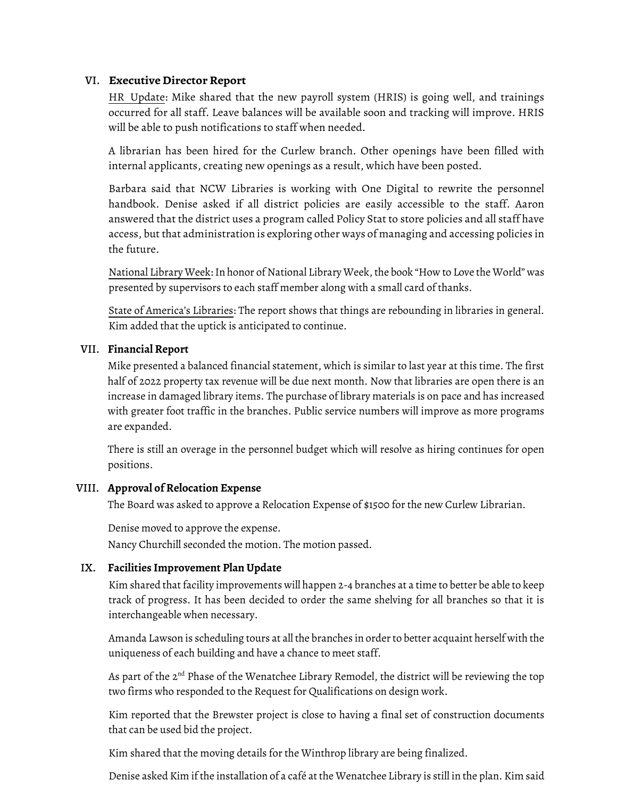## VI. **ExecutiveDirectorReport**

HR Update: Mike shared that the new payroll system (HRIS) is going well, and trainings occurred for all staff. Leave balances will be available soon and tracking will improve. HRIS will be able to push notifications to staff when needed.

A librarian has been hired for the Curlew branch. Other openings have been filled with internal applicants, creating new openings as a result, which have been posted.

Barbara said that NCW Libraries is working with One Digital to rewrite the personnel handbook. Denise asked if all district policies are easily accessible to the staff. Aaron answered that the district uses a program called Policy Stat to store policies and all staff have access, but that administration is exploring other ways of managing and accessing policies in the future.

National Library Week: In honor of National Library Week, the book "How to Love the World" was presented by supervisors to each staff member along with a small card of thanks.

State of America's Libraries: The report shows that things are rebounding in libraries in general. Kim added that the uptick is anticipated to continue.

## VII. **Financial Report**

Mike presented a balanced financial statement, which is similar to last year at this time. The first half of 2022 property tax revenue will be due next month. Now that libraries are open there is an increase in damaged library items. The purchase of library materials is on pace and has increased with greater foot traffic in the branches. Public service numbers will improve as more programs are expanded.

There is still an overage in the personnel budget which will resolve as hiring continues for open positions.

# VIII. **Approval of Relocation Expense**

The Board was asked to approve a Relocation Expense of \$1500 for the new Curlew Librarian.

Denise moved to approve the expense. Nancy Churchill seconded the motion. The motion passed.

# IX. **Facilities Improvement Plan Update**

Kim shared that facility improvements will happen 2-4 branches at a time to better be able to keep track of progress. It has been decided to order the same shelving for all branches so that it is interchangeable when necessary.

Amanda Lawson is scheduling tours at all the branches in order to better acquaint herself with the uniqueness of each building and have a chance to meet staff.

As part of the  $2<sup>nd</sup>$  Phase of the Wenatchee Library Remodel, the district will be reviewing the top two firms who responded to the Request for Qualifications on design work.

Kim reported that the Brewster project is close to having a final set of construction documents that can be used bid the project.

Kim shared that the moving details for the Winthrop library are being finalized.

Denise asked Kim if the installation of a café at the Wenatchee Library is still in the plan. Kim said